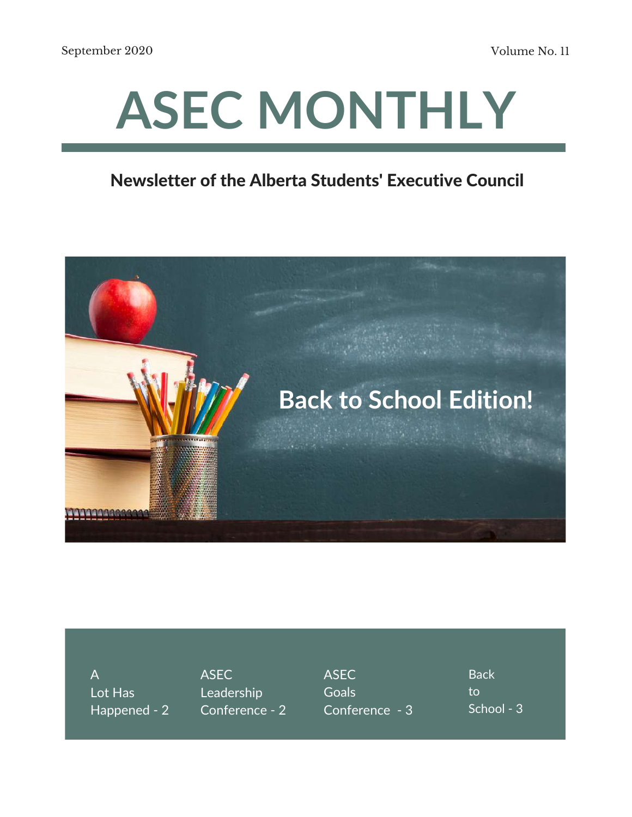# **ASEC MONTHLY**

#### Newsletter of the Alberta Students' Executive Council



A Lot Has Happened - 2

ASEC Leadership Conference - 2 ASEC **Goals** Conference - 3 **Back** to School - 3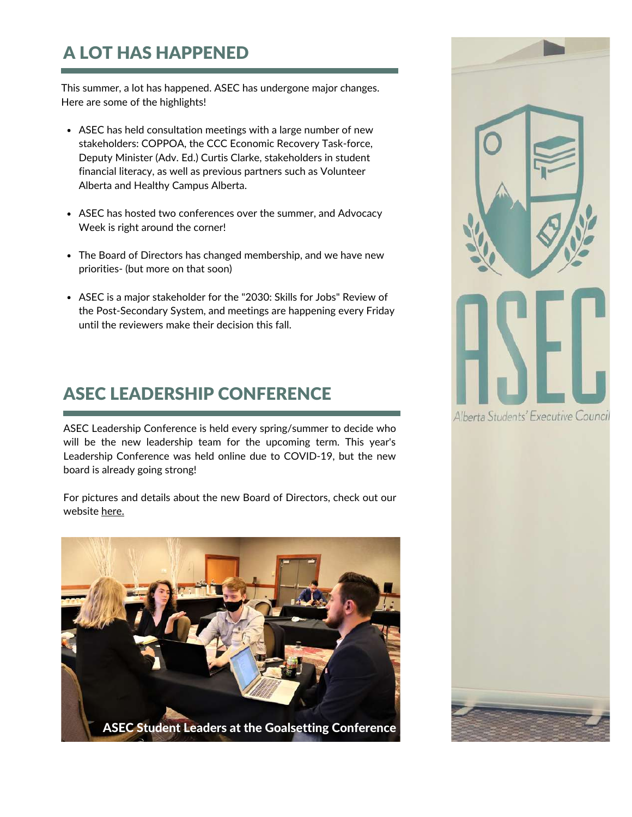### A LOT HAS HAPPENED

This summer, a lot has happened. ASEC has undergone major changes. Here are some of the highlights!

- ASEC has held consultation meetings with a large number of new stakeholders: COPPOA, the CCC Economic Recovery Task-force, Deputy Minister (Adv. Ed.) Curtis Clarke, stakeholders in student financial literacy, as well as previous partners such as Volunteer Alberta and Healthy Campus Alberta.
- ASEC has hosted two conferences over the summer, and Advocacy Week is right around the corner!
- The Board of Directors has changed membership, and we have new priorities- (but more on that soon)
- ASEC is a major stakeholder for the "2030: Skills for Jobs" Review of the Post-Secondary System, and meetings are happening every Friday until the reviewers make their decision this fall.

#### ASEC LEADERSHIP CONFERENCE

ASEC Leadership Conference is held every spring/summer to decide who will be the new leadership team for the upcoming term. This year's Leadership Conference was held online due to COVID-19, but the new board is already going strong!

For pictures and details about the new Board of Directors, check out our website [here.](https://albertastudents.ca/members/)





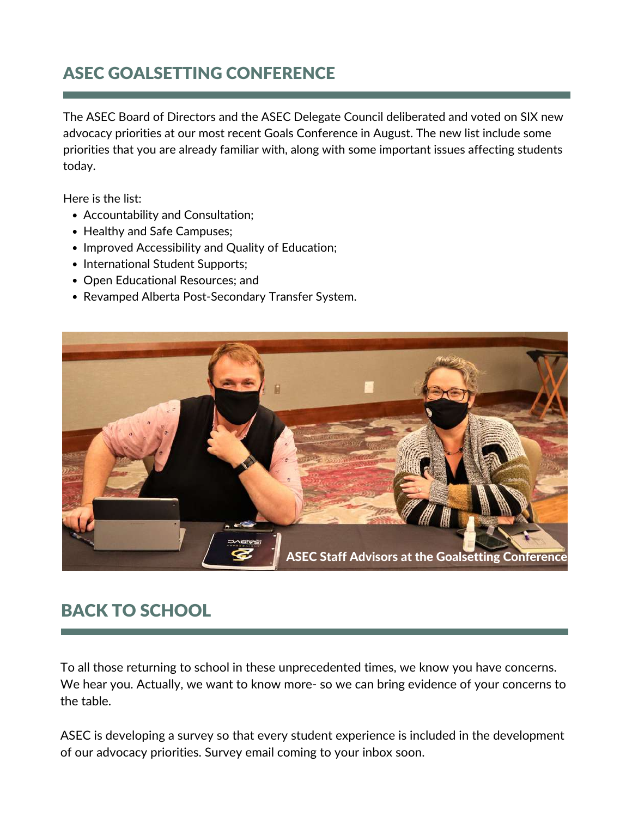#### ASEC GOALSETTING CONFERENCE

The ASEC Board of Directors and the ASEC Delegate Council deliberated and voted on SIX new advocacy priorities at our most recent Goals Conference in August. The new list include some priorities that you are already familiar with, along with some important issues affecting students today.

Here is the list:

- Accountability and Consultation;
- Healthy and Safe Campuses;
- Improved Accessibility and Quality of Education;
- International Student Supports;
- Open Educational Resources; and
- Revamped Alberta Post-Secondary Transfer System.



#### BACK TO SCHOOL

To all those returning to school in these unprecedented times, we know you have concerns. We hear you. Actually, we want to know more- so we can bring evidence of your concerns to the table.

ASEC is developing a survey so that every student experience is included in the development of our advocacy priorities. Survey email coming to your inbox soon.